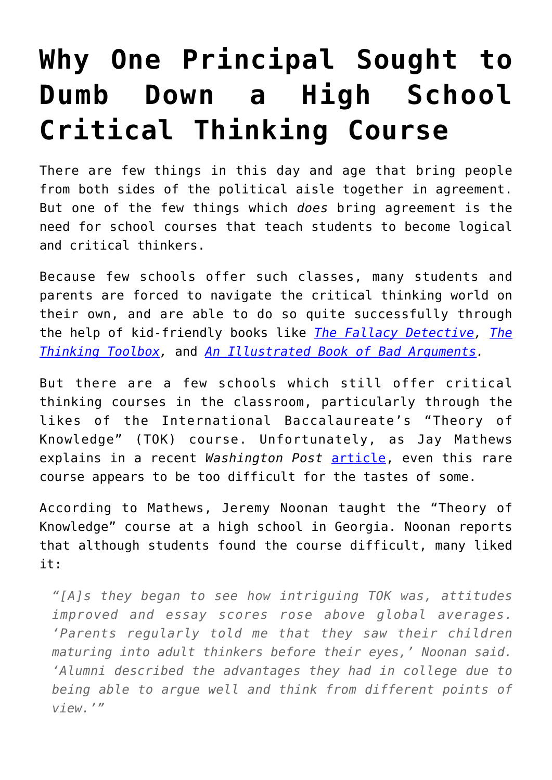## **[Why One Principal Sought to](https://intellectualtakeout.org/2017/07/why-one-principal-sought-to-dumb-down-a-high-school-critical-thinking-course/) [Dumb Down a High School](https://intellectualtakeout.org/2017/07/why-one-principal-sought-to-dumb-down-a-high-school-critical-thinking-course/) [Critical Thinking Course](https://intellectualtakeout.org/2017/07/why-one-principal-sought-to-dumb-down-a-high-school-critical-thinking-course/)**

There are few things in this day and age that bring people from both sides of the political aisle together in agreement. But one of the few things which *does* bring agreement is the need for school courses that teach students to become logical and critical thinkers.

Because few schools offer such classes, many students and parents are forced to navigate the critical thinking world on their own, and are able to do so quite successfully through the help of kid-friendly books like *[The Fallacy Detective,](https://www.amazon.com/gp/product/097453157X/ref=as_li_qf_sp_asin_il_tl?ie=UTF8&tag=intelltakeo0d-20&camp=1789&creative=9325&linkCode=as2&creativeASIN=097453157X&linkId=e298baebe1f13e61dcf240bc430f30c4) [The](https://www.amazon.com/gp/product/0974531510/ref=as_li_qf_sp_asin_il_tl?ie=UTF8&tag=intelltakeo0d-20&camp=1789&creative=9325&linkCode=as2&creativeASIN=0974531510&linkId=536d5ffef36758e5657588709aea2b95) [Thinking Toolbox,](https://www.amazon.com/gp/product/0974531510/ref=as_li_qf_sp_asin_il_tl?ie=UTF8&tag=intelltakeo0d-20&camp=1789&creative=9325&linkCode=as2&creativeASIN=0974531510&linkId=536d5ffef36758e5657588709aea2b95)* and *[An Illustrated Book of Bad Arguments.](https://www.amazon.com/gp/product/1615192255/ref=as_li_qf_sp_asin_il_tl?ie=UTF8&tag=intelltakeo0d-20&camp=1789&creative=9325&linkCode=as2&creativeASIN=1615192255&linkId=8483289bd4e1b91b0cc58b961c822152)*

But there are a few schools which still offer critical thinking courses in the classroom, particularly through the likes of the International Baccalaureate's "Theory of Knowledge" (TOK) course. Unfortunately, as Jay Mathews explains in a recent *Washington Post* [article](https://www.washingtonpost.com/local/education/unusual-course-on-critical-thinking-succeeded-until-tough-teacher-was-removed/2017/07/09/a386260e-62b0-11e7-8adc-fea80e32bf47_story.html?utm_term=.5ab80a932550), even this rare course appears to be too difficult for the tastes of some.

According to Mathews, Jeremy Noonan taught the "Theory of Knowledge" course at a high school in Georgia. Noonan reports that although students found the course difficult, many liked it:

*"[A]s they began to see how intriguing TOK was, attitudes improved and essay scores rose above global averages. 'Parents regularly told me that they saw their children maturing into adult thinkers before their eyes,' Noonan said. 'Alumni described the advantages they had in college due to being able to argue well and think from different points of view.'"*